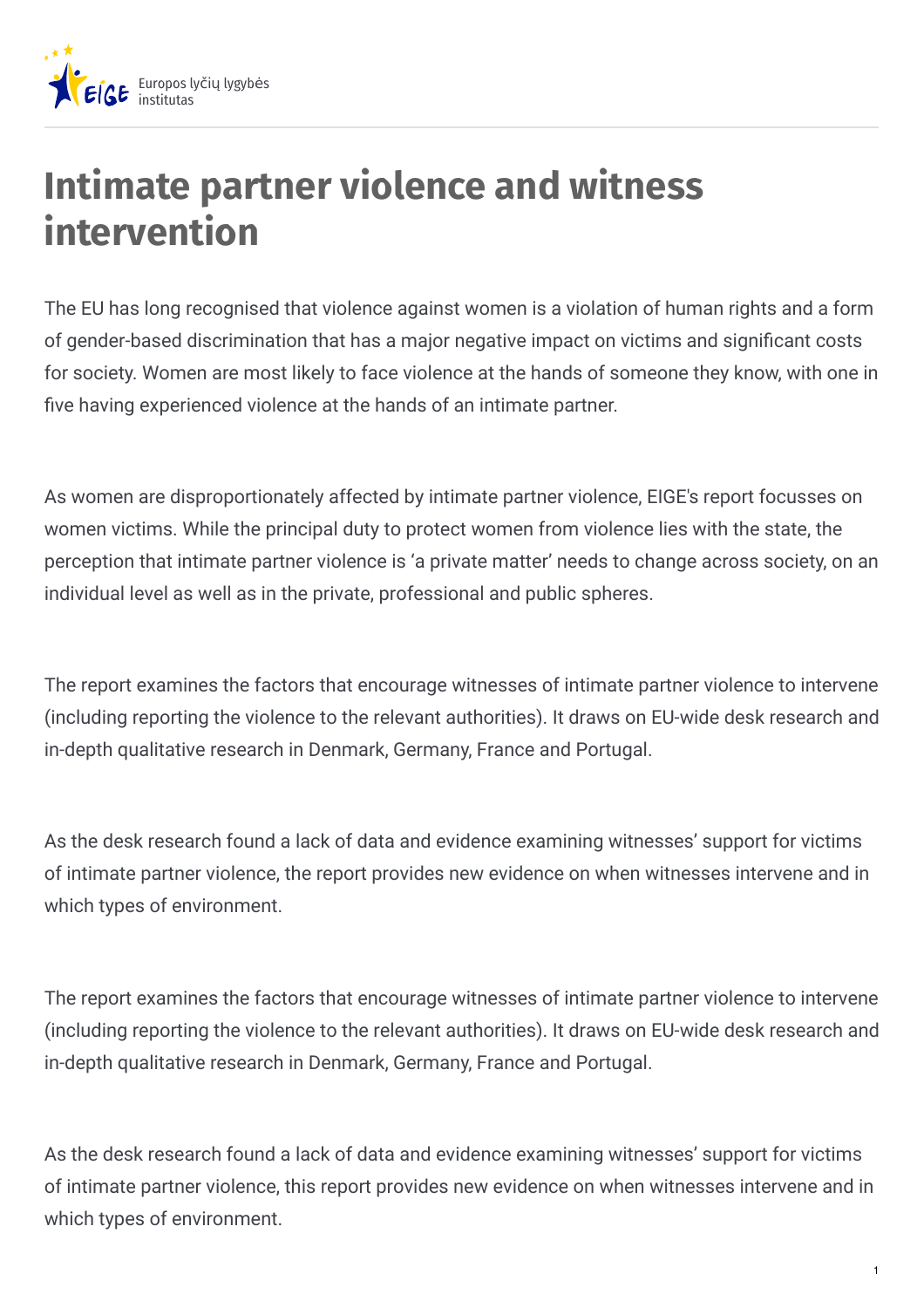

## **Intimate partner violence and witness intervention**

The EU has long recognised that violence against women is a violation of human rights and a form of gender-based discrimination that has a major negative impact on victims and significant costs for society. Women are most likely to face violence at the hands of someone they know, with one in five having experienced violence at the hands of an intimate partner.

As women are disproportionately affected by intimate partner violence, EIGE's report focusses on women victims. While the principal duty to protect women from violence lies with the state, the perception that intimate partner violence is 'a private matter' needs to change across society, on an individual level as well as in the private, professional and public spheres.

The report examines the factors that encourage witnesses of intimate partner violence to intervene (including reporting the violence to the relevant authorities). It draws on EU-wide desk research and in-depth qualitative research in Denmark, Germany, France and Portugal.

As the desk research found a lack of data and evidence examining witnesses' support for victims of intimate partner violence, the report provides new evidence on when witnesses intervene and in which types of environment.

The report examines the factors that encourage witnesses of intimate partner violence to intervene (including reporting the violence to the relevant authorities). It draws on EU-wide desk research and in-depth qualitative research in Denmark, Germany, France and Portugal.

As the desk research found a lack of data and evidence examining witnesses' support for victims of intimate partner violence, this report provides new evidence on when witnesses intervene and in which types of environment.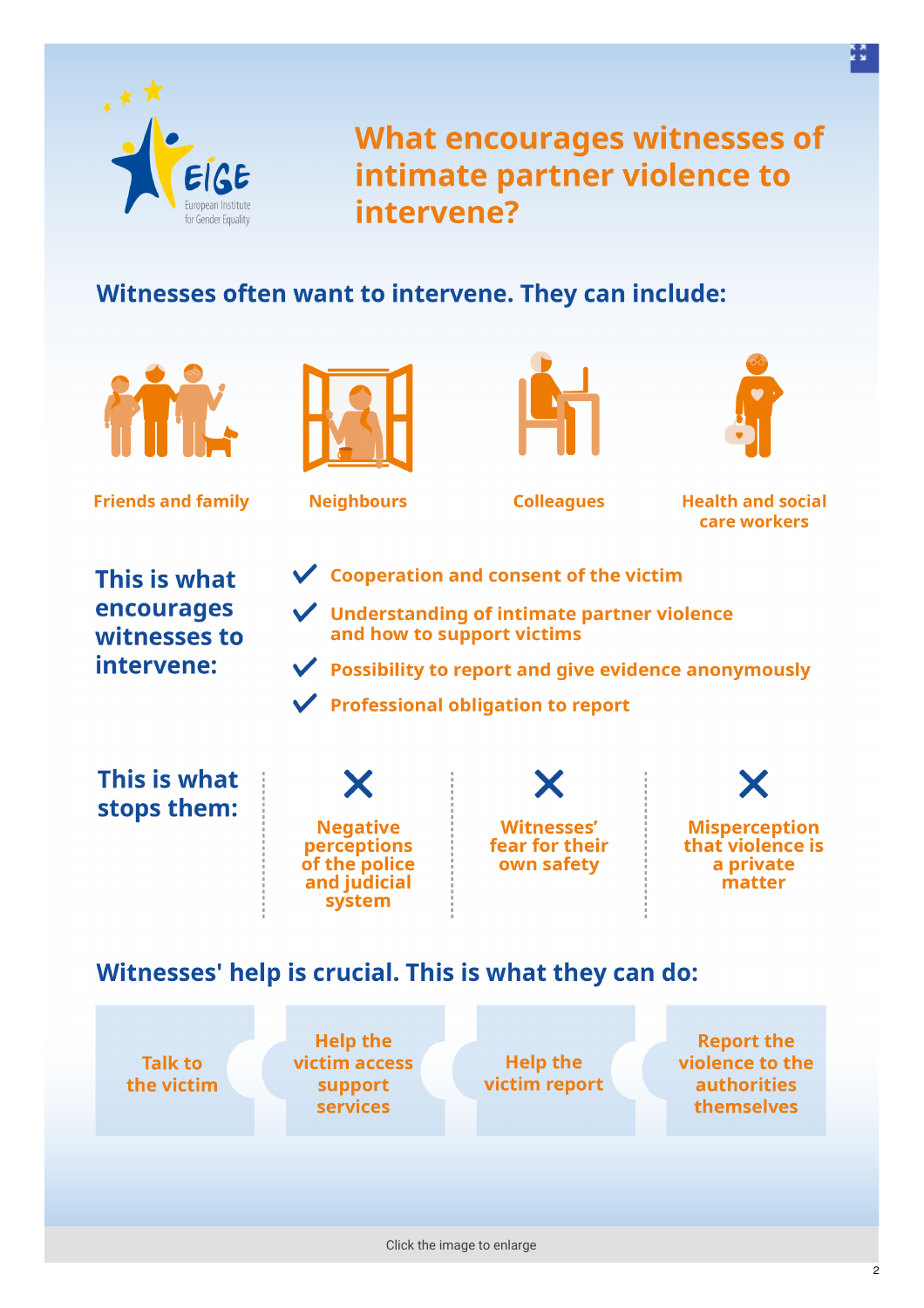

**What encourages witnesses of** intimate partner violence to intervene?

## Witnesses often want to intervene. They can include:



**Friends and family** 



**Neighbours** 





**Colleagues** 

**Health and social** care workers

This is what encourages witnesses to intervene:

- $\vee$  Cooperation and consent of the victim
- $\sqrt{\phantom{a}}$  Understanding of intimate partner violence and how to support victims
- $\vee$  Possibility to report and give evidence anonymously
- $\checkmark$  Professional obligation to report

This is what stops them:



**Witnesses'** fear for their own safety

**Misperception** that violence is a private matter

## Witnesses' help is crucial. This is what they can do:

**Talk to** the victim

**Help the** victim access support **services** 

**Help the** victim report

**Report the** violence to the **authorities** themselves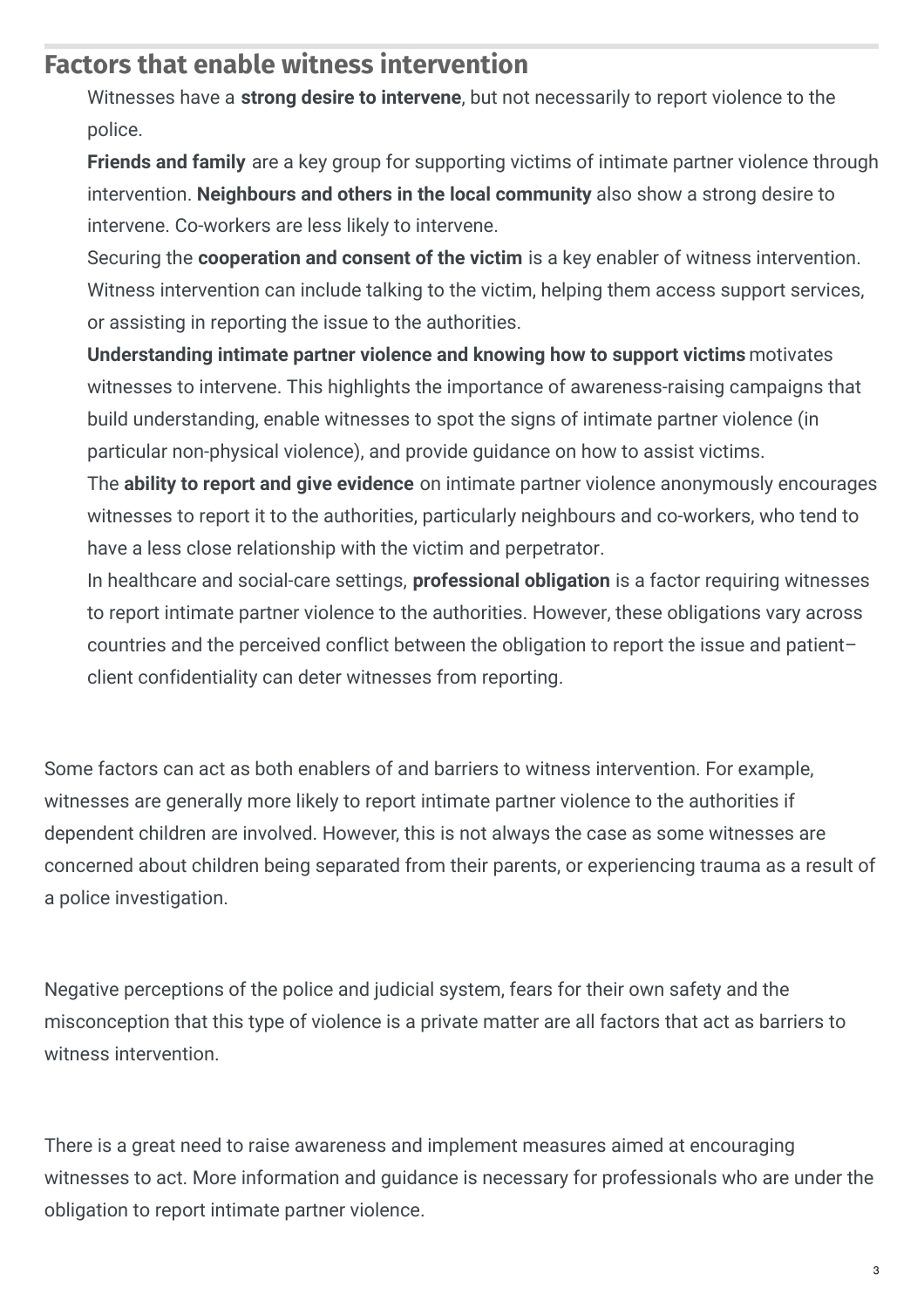## **Factors that enable witness intervention**

Witnesses have a **strong desire to intervene**, but not necessarily to report violence to the police.

**Friends and family** are a key group for supporting victims of intimate partner violence through intervention. **Neighbours and others in the local community** also show a strong desire to intervene. Co-workers are less likely to intervene.

Securing the **cooperation and consent of the victim** is a key enabler of witness intervention. Witness intervention can include talking to the victim, helping them access support services, or assisting in reporting the issue to the authorities.

**Understanding intimate partner violence and knowing how to support victims** motivates witnesses to intervene. This highlights the importance of awareness-raising campaigns that build understanding, enable witnesses to spot the signs of intimate partner violence (in particular non-physical violence), and provide guidance on how to assist victims.

The **ability to report and give evidence** on intimate partner violence anonymously encourages witnesses to report it to the authorities, particularly neighbours and co-workers, who tend to have a less close relationship with the victim and perpetrator.

In healthcare and social-care settings, **professional obligation** is a factor requiring witnesses to report intimate partner violence to the authorities. However, these obligations vary across countries and the perceived conflict between the obligation to report the issue and patient– client confidentiality can deter witnesses from reporting.

Some factors can act as both enablers of and barriers to witness intervention. For example, witnesses are generally more likely to report intimate partner violence to the authorities if dependent children are involved. However, this is not always the case as some witnesses are concerned about children being separated from their parents, or experiencing trauma as a result of a police investigation.

Negative perceptions of the police and judicial system, fears for their own safety and the misconception that this type of violence is a private matter are all factors that act as barriers to witness intervention.

There is a great need to raise awareness and implement measures aimed at encouraging witnesses to act. More information and guidance is necessary for professionals who are under the obligation to report intimate partner violence.